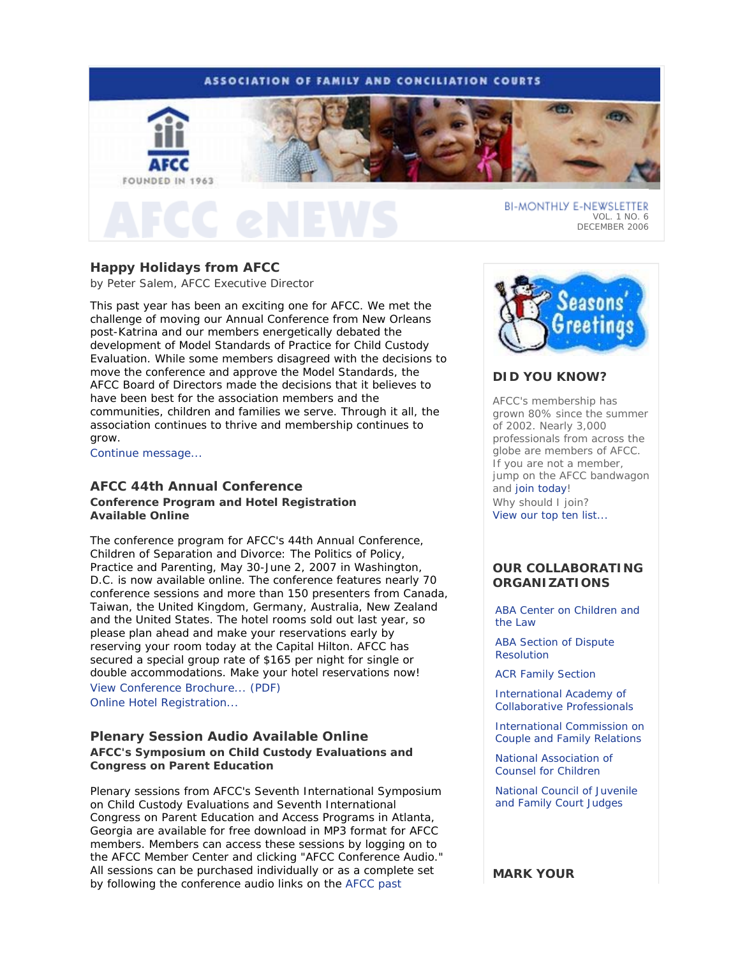

# **Happy Holidays from AFCC**

*by Peter Salem, AFCC Executive Director* 

This past year has been an exciting one for AFCC. We met the challenge of moving our Annual Conference from New Orleans post-Katrina and our members energetically debated the development of Model Standards of Practice for Child Custody Evaluation. While some members disagreed with the decisions to move the conference and approve the Model Standards, the AFCC Board of Directors made the decisions that it believes to have been best for the association members and the communities, children and families we serve. Through it all, the association continues to thrive and membership continues to grow.

Continue message...

# **AFCC 44th Annual Conference**

**Conference Program and Hotel Registration Available Online**

The conference program for AFCC's 44th Annual Conference, *Children of Separation and Divorce: The Politics of Policy, Practice and Parenting*, May 30-June 2, 2007 in Washington, D.C. is now available online. The conference features nearly 70 conference sessions and more than 150 presenters from Canada, Taiwan, the United Kingdom, Germany, Australia, New Zealand and the United States. The hotel rooms sold out last year, so please plan ahead and make your reservations early by reserving your room today at the Capital Hilton. AFCC has secured a special group rate of \$165 per night for single or double accommodations. Make your hotel reservations now! View Conference Brochure... (PDF)

Online Hotel Registration...

## **Plenary Session Audio Available Online AFCC's Symposium on Child Custody Evaluations and Congress on Parent Education**

Plenary sessions from *AFCC's Seventh International Symposium on Child Custody Evaluations* and *Seventh International Congress on Parent Education and Access Programs* in Atlanta, Georgia are available for free download in MP3 format for AFCC members. Members can access these sessions by logging on to the AFCC Member Center and clicking "AFCC Conference Audio." All sessions can be purchased individually or as a complete set by following the conference audio links on the AFCC past



# **DID YOU KNOW?**

AFCC's membership has grown 80% since the summer of 2002. Nearly 3,000 professionals from across the globe are members of AFCC. If you are not a member, jump on the AFCC bandwagon and join today! *Why should I join?* View our top ten list...

## **OUR COLLABORATING ORGANIZATIONS**

ABA Center on Children and the Law

ABA Section of Dispute Resolution

ACR Family Section

International Academy of Collaborative Professionals

International Commission on Couple and Family Relations

National Association of Counsel for Children

National Council of Juvenile and Family Court Judges

**MARK YOUR**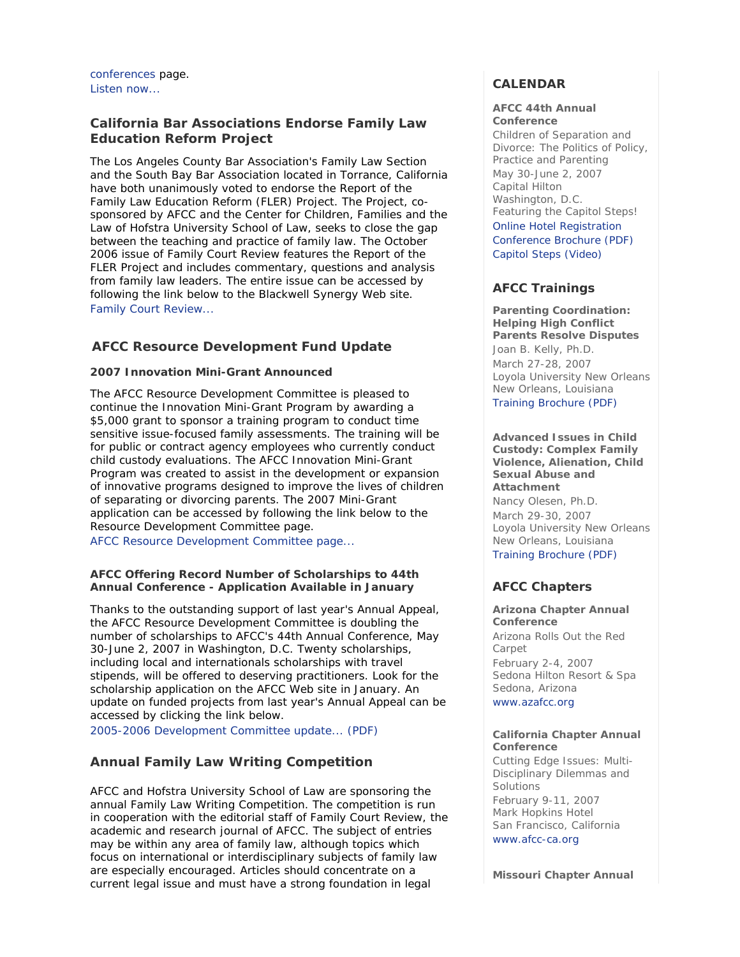conferences page. Listen now...

# **California Bar Associations Endorse Family Law Education Reform Project**

The Los Angeles County Bar Association's Family Law Section and the South Bay Bar Association located in Torrance, California have both unanimously voted to endorse the Report of the Family Law Education Reform (FLER) Project. The Project, cosponsored by AFCC and the Center for Children, Families and the Law of Hofstra University School of Law, seeks to close the gap between the teaching and practice of family law. The October 2006 issue of *Family Court Review* features the Report of the FLER Project and includes commentary, questions and analysis from family law leaders. The entire issue can be accessed by following the link below to the Blackwell Synergy Web site. Family Court Review...

# **AFCC Resource Development Fund Update**

## **2007 Innovation Mini-Grant Announced**

The AFCC Resource Development Committee is pleased to continue the Innovation Mini-Grant Program by awarding a \$5,000 grant to sponsor a training program to conduct time sensitive issue-focused family assessments. The training will be for public or contract agency employees who currently conduct child custody evaluations. The AFCC Innovation Mini-Grant Program was created to assist in the development or expansion of innovative programs designed to improve the lives of children of separating or divorcing parents. The 2007 Mini-Grant application can be accessed by following the link below to the Resource Development Committee page.

AFCC Resource Development Committee page...

## **AFCC Offering Record Number of Scholarships to 44th Annual Conference - Application Available in January**

Thanks to the outstanding support of last year's Annual Appeal, the AFCC Resource Development Committee is doubling the number of scholarships to AFCC's 44th Annual Conference, May 30-June 2, 2007 in Washington, D.C. Twenty scholarships, including local and internationals scholarships with travel stipends, will be offered to deserving practitioners. Look for the scholarship application on the AFCC Web site in January. An update on funded projects from last year's Annual Appeal can be accessed by clicking the link below.

2005-2006 Development Committee update... (PDF)

# **Annual Family Law Writing Competition**

AFCC and Hofstra University School of Law are sponsoring the annual Family Law Writing Competition. The competition is run in cooperation with the editorial staff of *Family Court Review*, the academic and research journal of AFCC. The subject of entries may be within any area of family law, although topics which focus on international or interdisciplinary subjects of family law are especially encouraged. Articles should concentrate on a current legal issue and must have a strong foundation in legal

# **CALENDAR**

### **AFCC 44th Annual Conference**

*Children of Separation and Divorce: The Politics of Policy, Practice and Parenting* May 30-June 2, 2007 Capital Hilton Washington, D.C. *Featuring the Capitol Steps!* Online Hotel Registration Conference Brochure (PDF) Capitol Steps (Video)

# **AFCC Trainings**

**Parenting Coordination: Helping High Conflict Parents Resolve Disputes** *Joan B. Kelly, Ph.D.* March 27-28, 2007 Loyola University New Orleans New Orleans, Louisiana Training Brochure (PDF)

**Advanced Issues in Child Custody: Complex Family Violence, Alienation, Child Sexual Abuse and Attachment** *Nancy Olesen, Ph.D.* March 29-30, 2007 Loyola University New Orleans New Orleans, Louisiana Training Brochure (PDF)

# **AFCC Chapters**

**Arizona Chapter Annual Conference** *Arizona Rolls Out the Red Carpet* February 2-4, 2007 Sedona Hilton Resort & Spa Sedona, Arizona www.azafcc.org

## **California Chapter Annual Conference**

*Cutting Edge Issues: Multi-Disciplinary Dilemmas and Solutions* February 9-11, 2007 Mark Hopkins Hotel San Francisco, California www.afcc-ca.org

**Missouri Chapter Annual**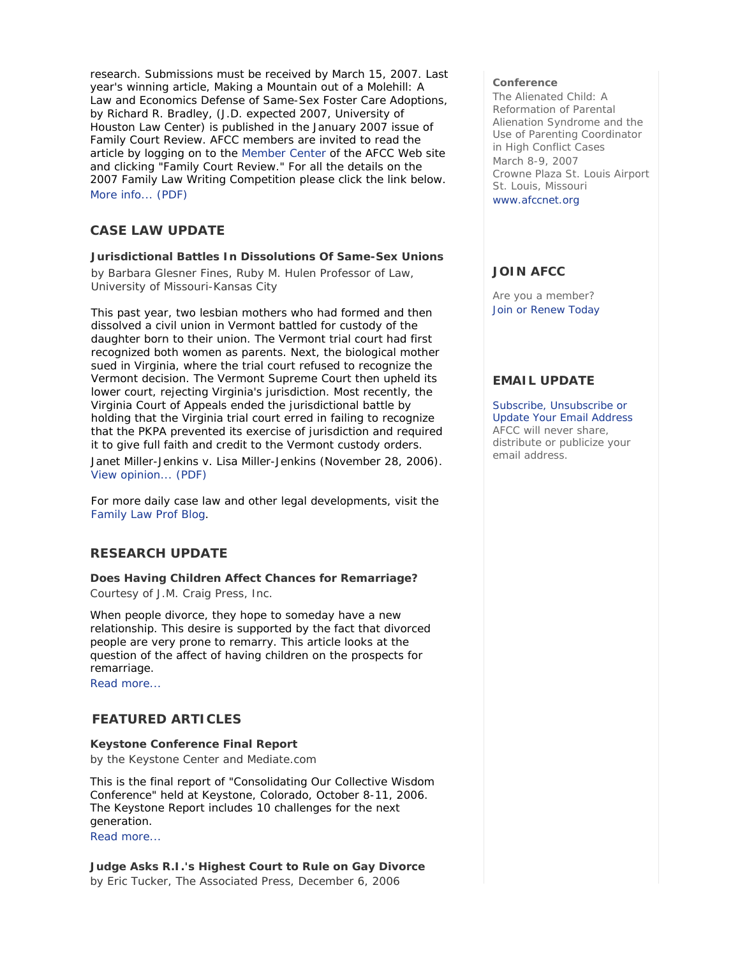research. Submissions must be received by March 15, 2007. Last year's winning article, *Making a Mountain out of a Molehill: A Law and Economics Defense of Same-Sex Foster Care Adoptions*, by Richard R. Bradley, (J.D. expected 2007, University of Houston Law Center) is published in the January 2007 issue of *Family Court Review*. AFCC members are invited to read the article by logging on to the Member Center of the AFCC Web site and clicking "Family Court Review." For all the details on the 2007 Family Law Writing Competition please click the link below. More info... (PDF)

## **CASE LAW UPDATE**

## **Jurisdictional Battles In Dissolutions Of Same-Sex Unions**

*by Barbara Glesner Fines, Ruby M. Hulen Professor of Law, University of Missouri-Kansas City*

This past year, two lesbian mothers who had formed and then dissolved a civil union in Vermont battled for custody of the daughter born to their union. The Vermont trial court had first recognized both women as parents. Next, the biological mother sued in Virginia, where the trial court refused to recognize the Vermont decision. The Vermont Supreme Court then upheld its lower court, rejecting Virginia's jurisdiction. Most recently, the Virginia Court of Appeals ended the jurisdictional battle by holding that the Virginia trial court erred in failing to recognize that the PKPA prevented its exercise of jurisdiction and required it to give full faith and credit to the Vermont custody orders.

Janet Miller-Jenkins v. Lisa Miller-Jenkins (November 28, 2006). View opinion... (PDF)

For more daily case law and other legal developments, visit the Family Law Prof Blog.

# **RESEARCH UPDATE**

**Does Having Children Affect Chances for Remarriage?** *Courtesy of J.M. Craig Press, Inc.*

When people divorce, they hope to someday have a new relationship. This desire is supported by the fact that divorced people are very prone to remarry. This article looks at the question of the affect of having children on the prospects for remarriage.

Read more...

# **FEATURED ARTICLES**

## **Keystone Conference Final Report**

*by the Keystone Center and Mediate.com*

This is the final report of "Consolidating Our Collective Wisdom Conference" held at Keystone, Colorado, October 8-11, 2006. The Keystone Report includes 10 challenges for the next generation.

Read more...

**Judge Asks R.I.'s Highest Court to Rule on Gay Divorce** *by Eric Tucker, The Associated Press, December 6, 2006*

#### **Conference**

*The Alienated Child: A Reformation of Parental Alienation Syndrome and the Use of Parenting Coordinator in High Conflict Cases* March 8-9, 2007 Crowne Plaza St. Louis Airport St. Louis, Missouri www.afccnet.org

## **JOIN AFCC**

Are you a member? Join or Renew Today

## **EMAIL UPDATE**

Subscribe, Unsubscribe or Update Your Email Address AFCC will never share, distribute or publicize your email address.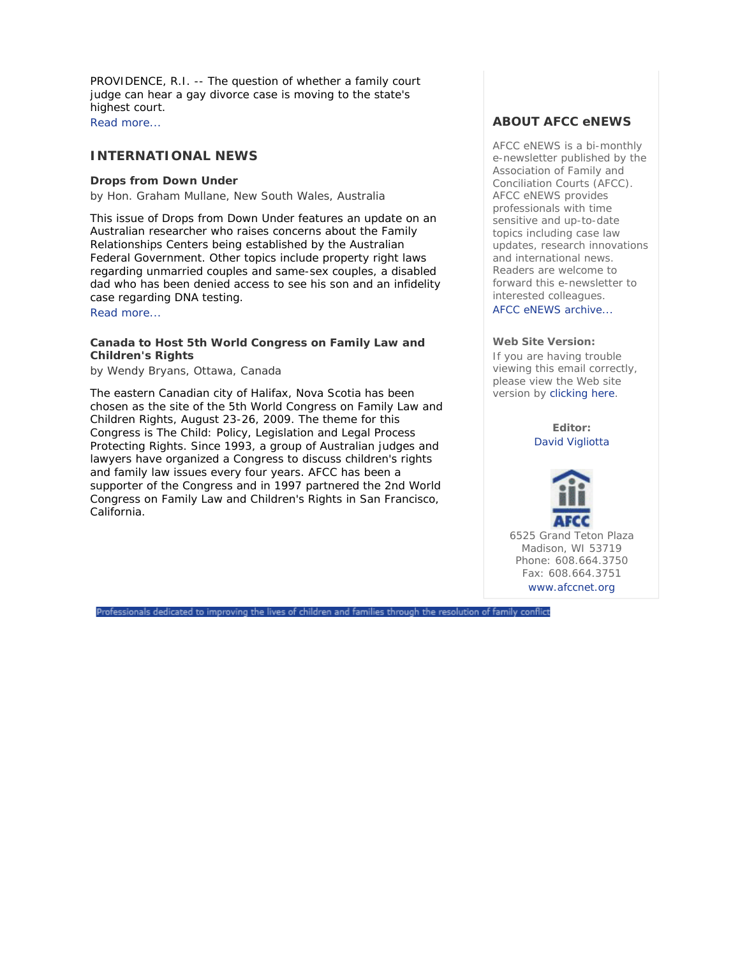PROVIDENCE, R.I. -- The question of whether a family court judge can hear a gay divorce case is moving to the state's highest court. Read more...

# **INTERNATIONAL NEWS**

## **Drops from Down Under**

*by Hon. Graham Mullane, New South Wales, Australia* 

This issue of *Drops from Down Under* features an update on an Australian researcher who raises concerns about the Family Relationships Centers being established by the Australian Federal Government. Other topics include property right laws regarding unmarried couples and same-sex couples, a disabled dad who has been denied access to see his son and an infidelity case regarding DNA testing.

Read more...

## **Canada to Host 5th World Congress on Family Law and Children's Rights**

*by Wendy Bryans, Ottawa, Canada*

The eastern Canadian city of Halifax, Nova Scotia has been chosen as the site of the 5th World Congress on Family Law and Children Rights, August 23-26, 2009. The theme for this Congress is *The Child: Policy, Legislation and Legal Process Protecting Rights.* Since 1993, a group of Australian judges and lawyers have organized a Congress to discuss children's rights and family law issues every four years. AFCC has been a supporter of the Congress and in 1997 partnered the 2nd World Congress on Family Law and Children's Rights in San Francisco, California.

## **ABOUT AFCC eNEWS**

*AFCC eNEWS* is a bi-monthly e-newsletter published by the Association of Family and Conciliation Courts (AFCC). *AFCC eNEWS* provides professionals with time sensitive and up-to-date topics including case law updates, research innovations and international news. Readers are welcome to forward this e-newsletter to interested colleagues.

AFCC eNEWS archive...

### **Web Site Version:**

If you are having trouble viewing this email correctly, please view the Web site version by clicking here.

> **Editor:** David Vigliotta



6525 Grand Teton Plaza Madison, WI 53719 Phone: 608.664.3750 Fax: 608.664.3751 www.afccnet.org

Professionals dedicated to improving the lives of children and families through the resolution of family conflict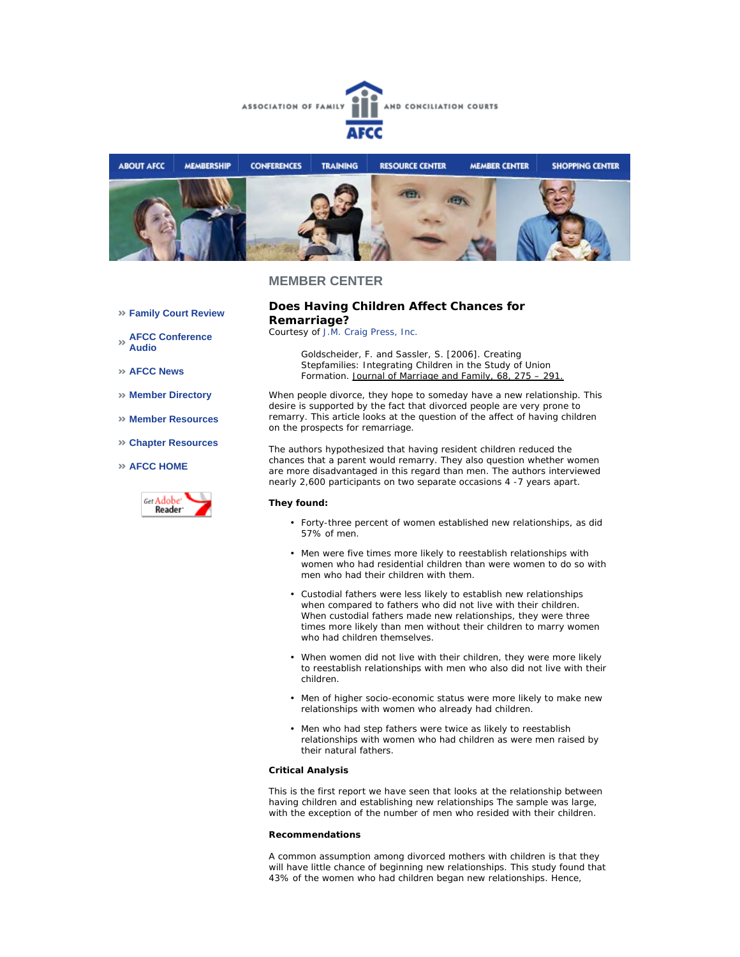



#### **Family Court Review**

**AFCC Conference Audio** 

**AFCC News** 

- **Member Directory**
- **Member Resources**
- **Chapter Resources**

### **AFCC HOME**



## **Does Having Children Affect Chances for Remarriage?**

*Courtesy of J.M. Craig Press, Inc.*

Goldscheider, F. and Sassler, S. [2006]. Creating Stepfamilies: Integrating Children in the Study of Union Formation. Journal of Marriage and Family, 68, 275 – 291.

When people divorce, they hope to someday have a new relationship. This desire is supported by the fact that divorced people are very prone to remarry. This article looks at the question of the affect of having children on the prospects for remarriage.

The authors hypothesized that having resident children reduced the chances that a parent would remarry. They also question whether women are more disadvantaged in this regard than men. The authors interviewed nearly 2,600 participants on two separate occasions 4 -7 years apart.

## **They found:**

- Forty-three percent of women established new relationships, as did 57% of men. •
- Men were five times more likely to reestablish relationships with women who had residential children than were women to do so with men who had their children with them.
- Custodial fathers were less likely to establish new relationships when compared to fathers who did not live with their children. When custodial fathers made new relationships, they were three times more likely than men without their children to marry women who had children themselves.
- When women did not live with their children, they were more likely to reestablish relationships with men who also did not live with their children.
- Men of higher socio-economic status were more likely to make new relationships with women who already had children.
- Men who had step fathers were twice as likely to reestablish relationships with women who had children as were men raised by their natural fathers. •

### **Critical Analysis**

This is the first report we have seen that looks at the relationship between having children and establishing new relationships The sample was large, with the exception of the number of men who resided with their children.

#### **Recommendations**

A common assumption among divorced mothers with children is that they will have little chance of beginning new relationships. This study found that 43% of the women who had children began new relationships. Hence,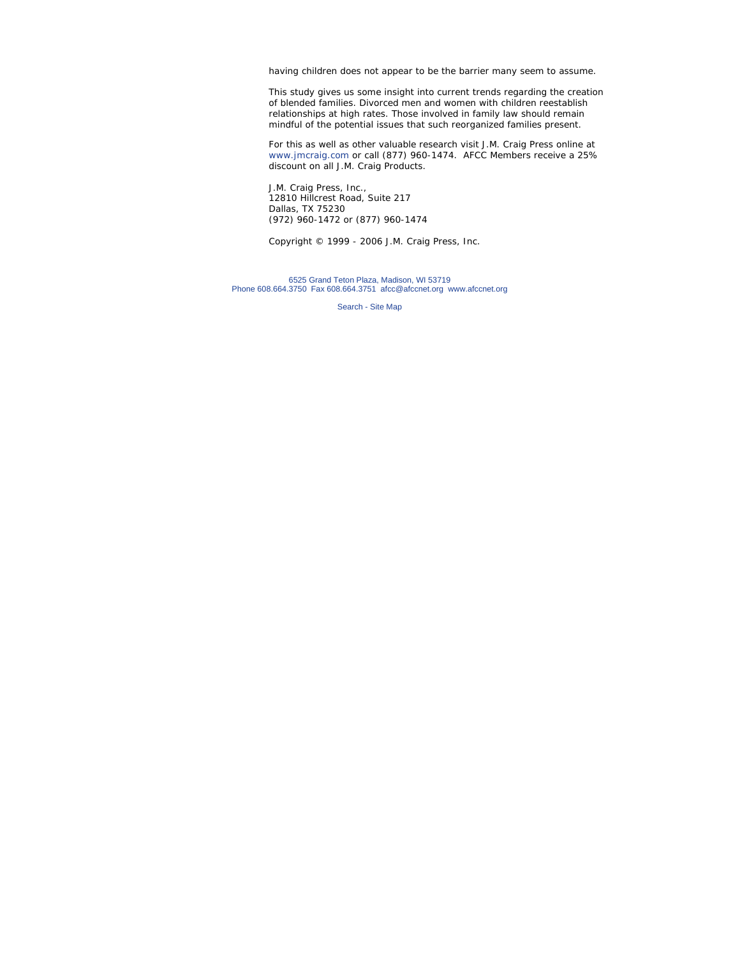having children does not appear to be the barrier many seem to assume.

This study gives us some insight into current trends regarding the creation of blended families. Divorced men and women with children reestablish relationships at high rates. Those involved in family law should remain mindful of the potential issues that such reorganized families present.

For this as well as other valuable research visit J.M. Craig Press online at www.jmcraig.com or call (877) 960-1474. AFCC Members receive a 25% discount on all J.M. Craig Products.

J.M. Craig Press, Inc., 12810 Hillcrest Road, Suite 217 Dallas, TX 75230 (972) 960-1472 or (877) 960-1474

*Copyright © 1999 - 2006 J.M. Craig Press, Inc.*

6525 Grand Teton Plaza, Madison, WI 53719 Phone 608.664.3750 Fax 608.664.3751 afcc@afccnet.org www.afccnet.org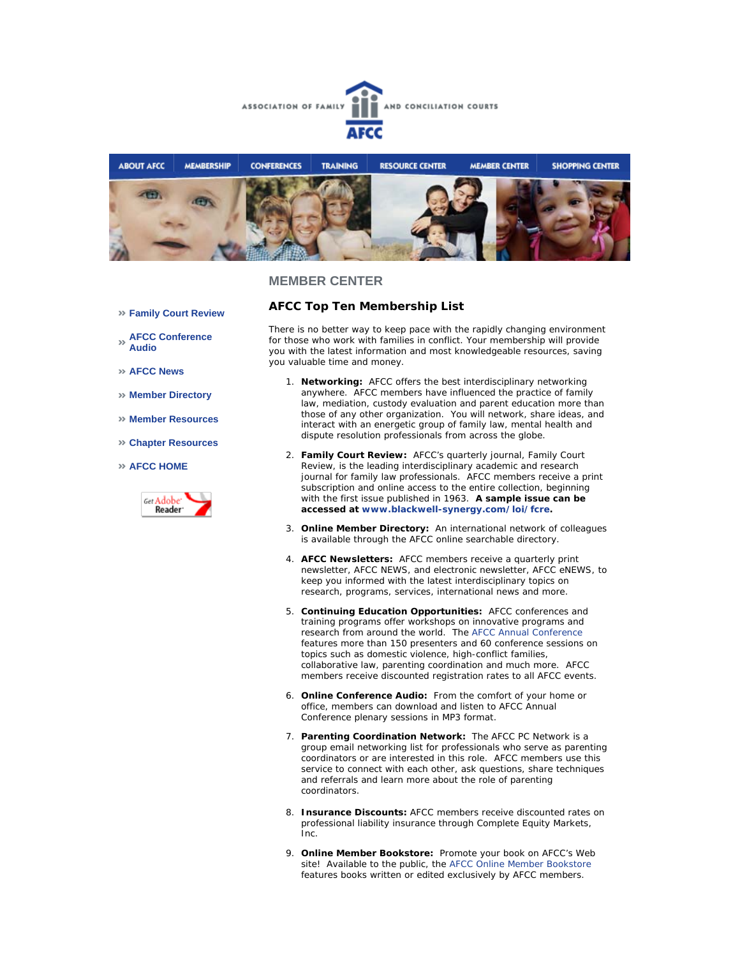



- **Family Court Review**
- **AFCC Conference Audio**
- **AFCC News**
- **Member Directory**
- **Member Resources**
- **Chapter Resources**
- **AFCC HOME**



**AFCC Top Ten Membership List**

There is no better way to keep pace with the rapidly changing environment for those who work with families in conflict. Your membership will provide you with the latest information and most knowledgeable resources, saving you valuable time and money.

- **Networking:** AFCC offers the best interdisciplinary networking 1. anywhere.AFCC members have influenced the practice of family law, mediation, custody evaluation and parent education more than those of any other organization. You will network, share ideas, and interact with an energetic group of family law, mental health and dispute resolution professionals from across the globe.
- **Family Court Review:** AFCC's quarterly journal, *Family Court*  2. *Review*, is the leading interdisciplinary academic and research journal for family law professionals. AFCC members receive a print subscription and online access to the entire collection, beginning with the first issue published in 1963. **A sample issue can be accessed at www.blackwell-synergy.com/loi/fcre.**
- **Online Member Directory:** An international network of colleagues 3. is available through the AFCC online searchable directory.
- **AFCC Newsletters:** AFCC members receive a quarterly print 4. newsletter, *AFCC NEWS*, and electronic newsletter, *AFCC eNEWS*, to keep you informed with the latest interdisciplinary topics on research, programs, services, international news and more.
- **Continuing Education Opportunities:** AFCC conferences and 5. training programs offer workshops on innovative programs and research from around the world. The AFCC Annual Conference features more than 150 presenters and 60 conference sessions on topics such as domestic violence, high-conflict families, collaborative law, parenting coordination and much more. AFCC members receive discounted registration rates to all AFCC events.
- **Online Conference Audio:** From the comfort of your home or 6. office, members can download and listen to AFCC Annual Conference plenary sessions in MP3 format.
- 7. Parenting Coordination Network: The AFCC PC Network is a group email networking list for professionals who serve as parenting coordinators or are interested in this role. AFCC members use this service to connect with each other, ask questions, share techniques and referrals and learn more about the role of parenting coordinators.
- **Insurance Discounts:** AFCC members receive discounted rates on 8. professional liability insurance through Complete Equity Markets, Inc.
- **Online Member Bookstore:** Promote your book on AFCC's Web 9.site! Available to the public, the AFCC Online Member Bookstore features books written or edited exclusively by AFCC members.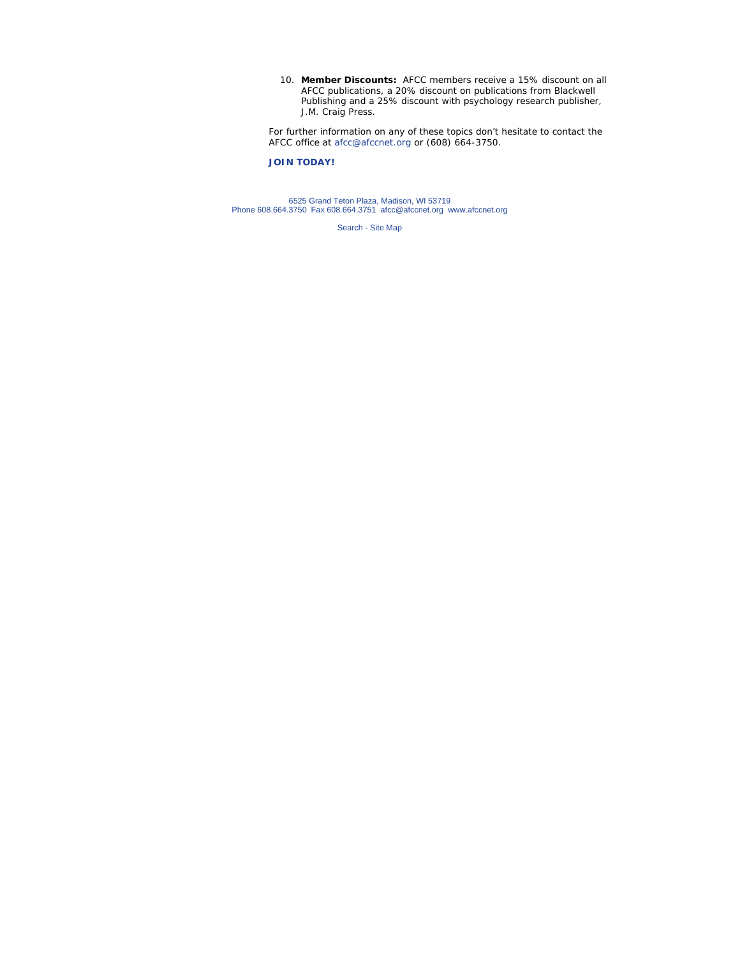**Member Discounts:** AFCC members receive a 15% discount on all 10. AFCC publications, a 20% discount on publications from Blackwell Publishing and a 25% discount with psychology research publisher, J.M. Craig Press.

For further information on any of these topics don't hesitate to contact the AFCC office at afcc@afccnet.org or (608) 664-3750.

## **JOIN TODAY!**

6525 Grand Teton Plaza, Madison, WI 53719 Phone 608.664.3750 Fax 608.664.3751 afcc@afccnet.org www.afccnet.org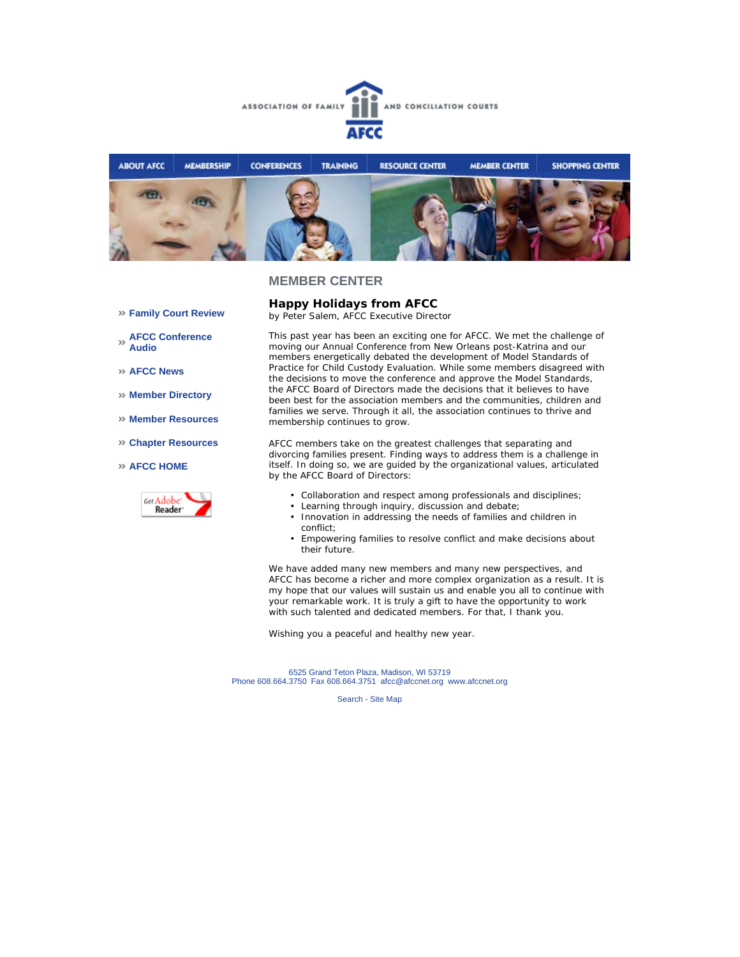



# **Happy Holidays from AFCC**

*by Peter Salem, AFCC Executive Director* 

**AFCC Conference Audio** 

**Family Court Review** 

- **AFCC News**
- **Member Directory**
- **Member Resources**
- **Chapter Resources**

#### **AFCC HOME**



This past year has been an exciting one for AFCC. We met the challenge of moving our Annual Conference from New Orleans post-Katrina and our members energetically debated the development of Model Standards of Practice for Child Custody Evaluation. While some members disagreed with the decisions to move the conference and approve the Model Standards, the AFCC Board of Directors made the decisions that it believes to have been best for the association members and the communities, children and families we serve. Through it all, the association continues to thrive and membership continues to grow.

AFCC members take on the greatest challenges that separating and divorcing families present. Finding ways to address them is a challenge in itself. In doing so, we are guided by the organizational values, articulated by the AFCC Board of Directors:

- Collaboration and respect among professionals and disciplines;
- Learning through inquiry, discussion and debate;
- Innovation in addressing the needs of families and children in conflict;
- Empowering families to resolve conflict and make decisions about their future.

We have added many new members and many new perspectives, and AFCC has become a richer and more complex organization as a result. It is my hope that our values will sustain us and enable you all to continue with your remarkable work. It is truly a gift to have the opportunity to work with such talented and dedicated members. For that, I thank you.

Wishing you a peaceful and healthy new year.

6525 Grand Teton Plaza, Madison, WI 53719 Phone 608.664.3750 Fax 608.664.3751 afcc@afccnet.org www.afccnet.org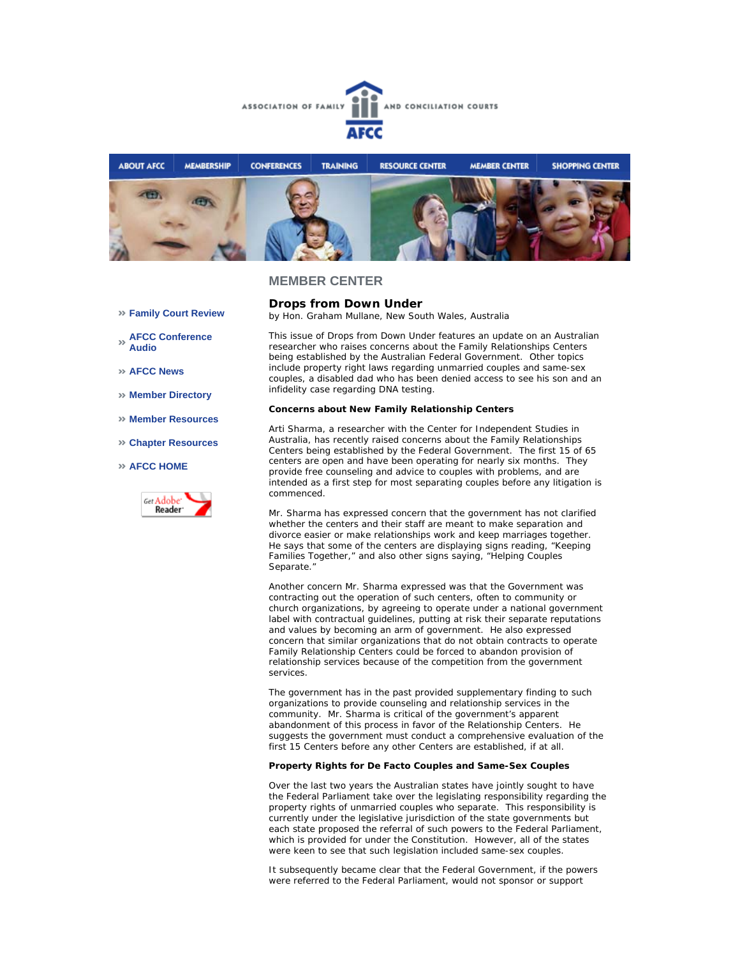



- **Family Court Review**
- **AFCC Conference Audio**
- **AFCC News**
- **Member Directory**
- **Member Resources**
- **Chapter Resources**
- **AFCC HOME**



**Drops from Down Under** *by Hon. Graham Mullane, New South Wales, Australia*

This issue of *Drops from Down Under* features an update on an Australian researcher who raises concerns about the Family Relationships Centers being established by the Australian Federal Government. Other topics include property right laws regarding unmarried couples and same-sex couples, a disabled dad who has been denied access to see his son and an infidelity case regarding DNA testing.

#### **Concerns about New Family Relationship Centers**

Arti Sharma, a researcher with the Center for Independent Studies in Australia, has recently raised concerns about the Family Relationships Centers being established by the Federal Government. The first 15 of 65 centers are open and have been operating for nearly six months. They provide free counseling and advice to couples with problems, and are intended as a first step for most separating couples before any litigation is commenced.

Mr. Sharma has expressed concern that the government has not clarified whether the centers and their staff are meant to make separation and divorce easier or make relationships work and keep marriages together. He says that some of the centers are displaying signs reading, "Keeping Families Together," and also other signs saying, "Helping Couples Separate."

Another concern Mr. Sharma expressed was that the Government was contracting out the operation of such centers, often to community or church organizations, by agreeing to operate under a national government label with contractual guidelines, putting at risk their separate reputations and values by becoming an arm of government. He also expressed concern that similar organizations that do not obtain contracts to operate Family Relationship Centers could be forced to abandon provision of relationship services because of the competition from the government services.

The government has in the past provided supplementary finding to such organizations to provide counseling and relationship services in the community. Mr. Sharma is critical of the government's apparent abandonment of this process in favor of the Relationship Centers. He suggests the government must conduct a comprehensive evaluation of the first 15 Centers before any other Centers are established, if at all.

#### **Property Rights for De Facto Couples and Same-Sex Couples**

Over the last two years the Australian states have jointly sought to have the Federal Parliament take over the legislating responsibility regarding the property rights of unmarried couples who separate. This responsibility is currently under the legislative jurisdiction of the state governments but each state proposed the referral of such powers to the Federal Parliament, which is provided for under the Constitution. However, all of the states were keen to see that such legislation included same-sex couples.

It subsequently became clear that the Federal Government, if the powers were referred to the Federal Parliament, would not sponsor or support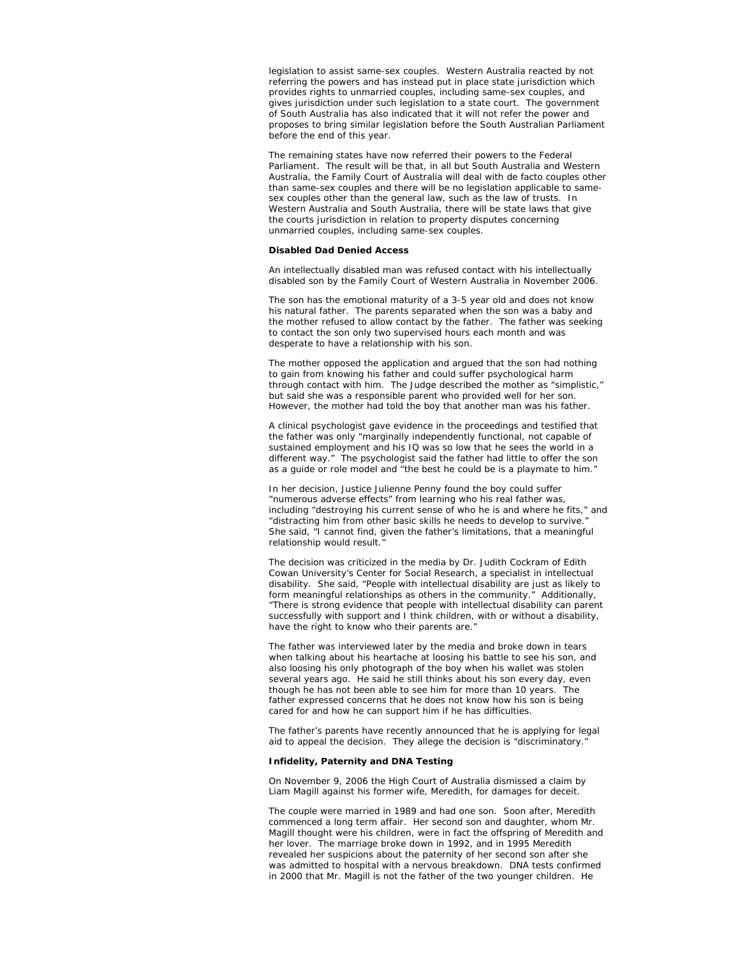legislation to assist same-sex couples. Western Australia reacted by not referring the powers and has instead put in place state jurisdiction which provides rights to unmarried couples, including same-sex couples, and gives jurisdiction under such legislation to a state court. The government of South Australia has also indicated that it will not refer the power and proposes to bring similar legislation before the South Australian Parliament before the end of this year.

The remaining states have now referred their powers to the Federal Parliament. The result will be that, in all but South Australia and Western Australia, the Family Court of Australia will deal with de facto couples other than same-sex couples and there will be no legislation applicable to samesex couples other than the general law, such as the law of trusts. In Western Australia and South Australia, there will be state laws that give the courts jurisdiction in relation to property disputes concerning unmarried couples, including same-sex couples.

#### **Disabled Dad Denied Access**

An intellectually disabled man was refused contact with his intellectually disabled son by the Family Court of Western Australia in November 2006.

The son has the emotional maturity of a 3-5 year old and does not know his natural father. The parents separated when the son was a baby and the mother refused to allow contact by the father. The father was seeking to contact the son only two supervised hours each month and was desperate to have a relationship with his son.

The mother opposed the application and argued that the son had nothing to gain from knowing his father and could suffer psychological harm through contact with him. The Judge described the mother as "simplistic," but said she was a responsible parent who provided well for her son. However, the mother had told the boy that another man was his father.

A clinical psychologist gave evidence in the proceedings and testified that the father was only "marginally independently functional, not capable of sustained employment and his IQ was so low that he sees the world in a different way." The psychologist said the father had little to offer the son as a guide or role model and "the best he could be is a playmate to him."

In her decision, Justice Julienne Penny found the boy could suffer "numerous adverse effects" from learning who his real father was, including "destroying his current sense of who he is and where he fits," and "distracting him from other basic skills he needs to develop to survive." She said, "I cannot find, given the father's limitations, that a meaningful relationship would result.

The decision was criticized in the media by Dr. Judith Cockram of Edith Cowan University's Center for Social Research, a specialist in intellectual disability. She said, "People with intellectual disability are just as likely to form meaningful relationships as others in the community." Additionally, "There is strong evidence that people with intellectual disability can parent successfully with support and I think children, with or without a disability, have the right to know who their parents are."

The father was interviewed later by the media and broke down in tears when talking about his heartache at loosing his battle to see his son, and also loosing his only photograph of the boy when his wallet was stolen several years ago. He said he still thinks about his son every day, even though he has not been able to see him for more than 10 years. The father expressed concerns that he does not know how his son is being cared for and how he can support him if he has difficulties.

The father's parents have recently announced that he is applying for legal aid to appeal the decision. They allege the decision is "discriminatory."

#### **Infidelity, Paternity and DNA Testing**

On November 9, 2006 the High Court of Australia dismissed a claim by Liam Magill against his former wife, Meredith, for damages for deceit.

The couple were married in 1989 and had one son. Soon after, Meredith commenced a long term affair. Her second son and daughter, whom Mr. Magill thought were his children, were in fact the offspring of Meredith and her lover. The marriage broke down in 1992, and in 1995 Meredith revealed her suspicions about the paternity of her second son after she was admitted to hospital with a nervous breakdown. DNA tests confirmed in 2000 that Mr. Magill is not the father of the two younger children. He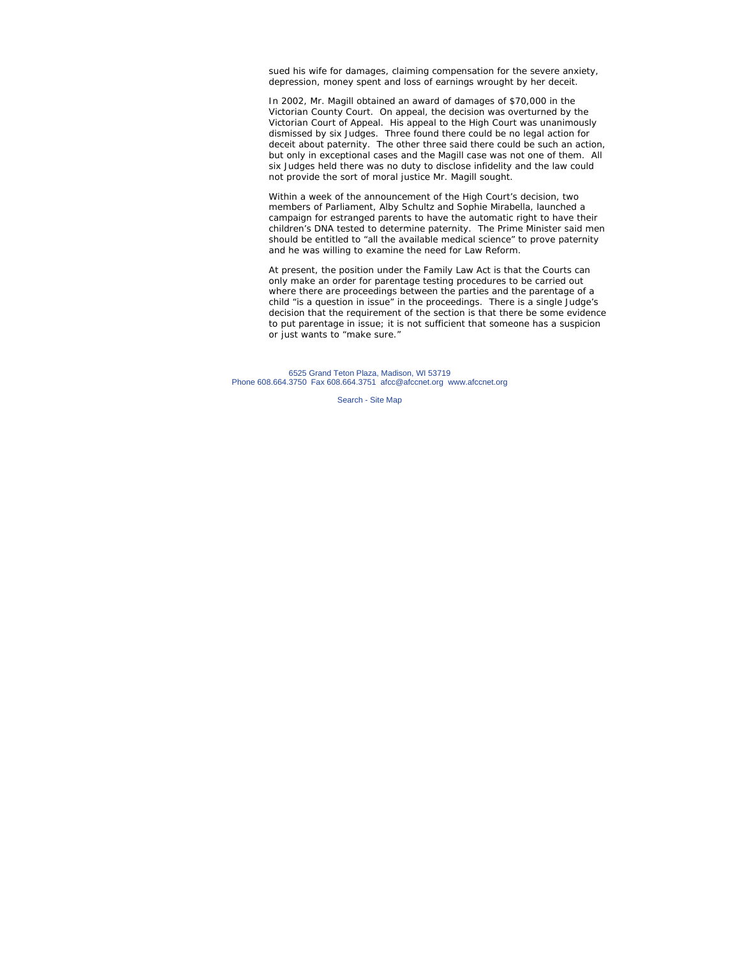sued his wife for damages, claiming compensation for the severe anxiety, depression, money spent and loss of earnings wrought by her deceit.

In 2002, Mr. Magill obtained an award of damages of \$70,000 in the Victorian County Court. On appeal, the decision was overturned by the Victorian Court of Appeal. His appeal to the High Court was unanimously dismissed by six Judges. Three found there could be no legal action for deceit about paternity. The other three said there could be such an action, but only in exceptional cases and the Magill case was not one of them. All six Judges held there was no duty to disclose infidelity and the law could not provide the sort of moral justice Mr. Magill sought.

Within a week of the announcement of the High Court's decision, two members of Parliament, Alby Schultz and Sophie Mirabella, launched a campaign for estranged parents to have the automatic right to have their children's DNA tested to determine paternity. The Prime Minister said men should be entitled to "all the available medical science" to prove paternity and he was willing to examine the need for Law Reform.

At present, the position under the Family Law Act is that the Courts can only make an order for parentage testing procedures to be carried out where there are proceedings between the parties and the parentage of a child "is a question in issue" in the proceedings. There is a single Judge's decision that the requirement of the section is that there be some evidence to put parentage in issue; it is not sufficient that someone has a suspicion or just wants to "make sure."

6525 Grand Teton Plaza, Madison, WI 53719 Phone 608.664.3750 Fax 608.664.3751 afcc@afccnet.org www.afccnet.org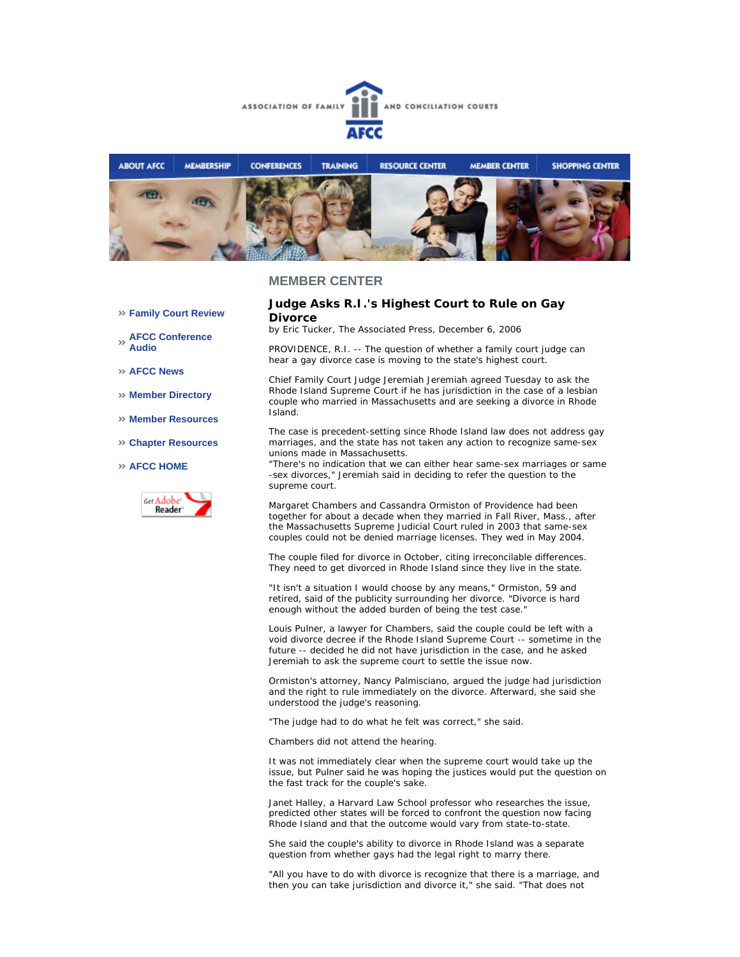



### **Judge Asks R.I.'s Highest Court to Rule on Gay Divorce**

*by Eric Tucker, The Associated Press, December 6, 2006*

PROVIDENCE, R.I. -- The question of whether a family court judge can hear a gay divorce case is moving to the state's highest court.

Chief Family Court Judge Jeremiah Jeremiah agreed Tuesday to ask the Rhode Island Supreme Court if he has jurisdiction in the case of a lesbian couple who married in Massachusetts and are seeking a divorce in Rhode Island.

The case is precedent-setting since Rhode Island law does not address gay marriages, and the state has not taken any action to recognize same-sex unions made in Massachusetts.

"There's no indication that we can either hear same-sex marriages or same -sex divorces," Jeremiah said in deciding to refer the question to the supreme court.

Margaret Chambers and Cassandra Ormiston of Providence had been together for about a decade when they married in Fall River, Mass., after the Massachusetts Supreme Judicial Court ruled in 2003 that same-sex couples could not be denied marriage licenses. They wed in May 2004.

The couple filed for divorce in October, citing irreconcilable differences. They need to get divorced in Rhode Island since they live in the state.

"It isn't a situation I would choose by any means," Ormiston, 59 and retired, said of the publicity surrounding her divorce. "Divorce is hard enough without the added burden of being the test case."

Louis Pulner, a lawyer for Chambers, said the couple could be left with a void divorce decree if the Rhode Island Supreme Court -- sometime in the future -- decided he did not have jurisdiction in the case, and he asked Jeremiah to ask the supreme court to settle the issue now.

Ormiston's attorney, Nancy Palmisciano, argued the judge had jurisdiction and the right to rule immediately on the divorce. Afterward, she said she understood the judge's reasoning.

"The judge had to do what he felt was correct," she said.

Chambers did not attend the hearing.

It was not immediately clear when the supreme court would take up the issue, but Pulner said he was hoping the justices would put the question on the fast track for the couple's sake.

Janet Halley, a Harvard Law School professor who researches the issue, predicted other states will be forced to confront the question now facing Rhode Island and that the outcome would vary from state-to-state.

She said the couple's ability to divorce in Rhode Island was a separate question from whether gays had the legal right to marry there.

"All you have to do with divorce is recognize that there is a marriage, and then you can take jurisdiction and divorce it," she said. "That does not

- **Family Court Review**
- **AFCC Conference Audio**
- **AFCC News**
- **Member Directory**
- **Member Resources**
- **Chapter Resources**

#### **AFCC HOME**